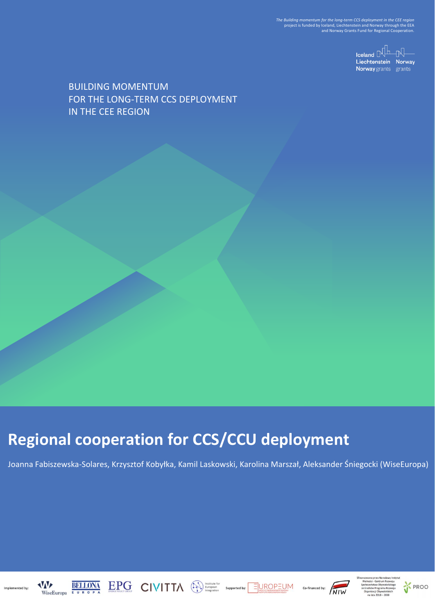*The Building momentum for the long-term CCS deployment in the CEE region*<br>project is funded by Iceland, Liechtenstein and Norway fhrough the EEA<br>and Norway Grants Fund for Regional Cooperation.

 $\begin{picture}(20,10) \put(0,0){\line(1,0){10}} \put(15,0){\line(1,0){10}} \put(15,0){\line(1,0){10}} \put(15,0){\line(1,0){10}} \put(15,0){\line(1,0){10}} \put(15,0){\line(1,0){10}} \put(15,0){\line(1,0){10}} \put(15,0){\line(1,0){10}} \put(15,0){\line(1,0){10}} \put(15,0){\line(1,0){10}} \put(15,0){\line(1,0){10}} \put(15,0){\line(1$ Liechtenstein Norway Norway grants grants

BUILDING MOMENTUM FOR THE LONG-TERM CCS DEPLOYMENT IN THE CEE REGION

# **Regional cooperation for CCS/CCU deployment**

Joanna Fabiszewska-Solares, Krzysztof Kobyłka, Kamil Laskowski, Karolina Marszał, Aleksander Śniegocki (WiseEuropa)





Ba o doda







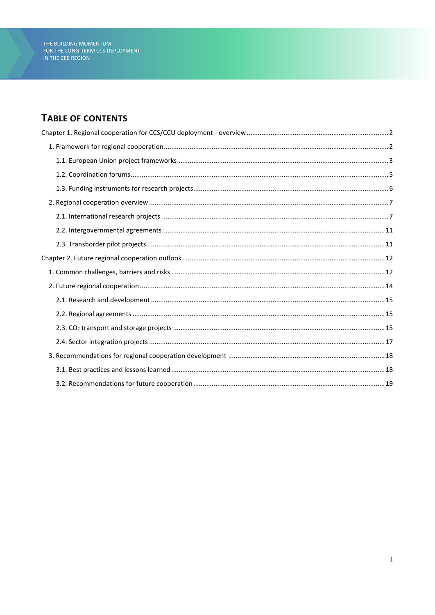# TABLE OF CONTENTS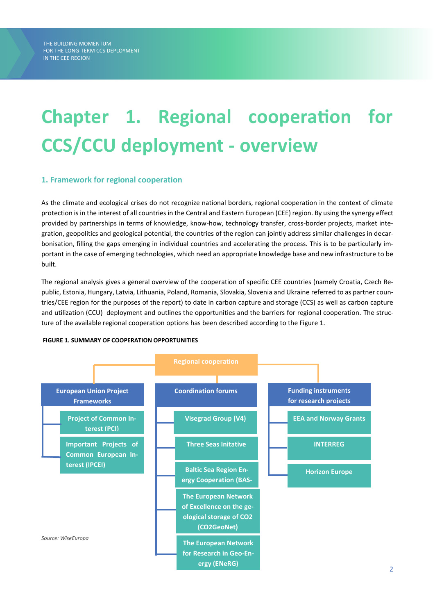# **Chapter 1. Regional cooperation for CCS/CCU deployment - overview**

# **1. Framework for regional cooperation**

As the climate and ecological crises do not recognize national borders, regional cooperation in the context of climate protection is in the interest of all countries in the Central and Eastern European (CEE) region. By using the synergy effect provided by partnerships in terms of knowledge, know-how, technology transfer, cross-border projects, market integration, geopolitics and geological potential, the countries of the region can jointly address similar challenges in decarbonisation, filling the gaps emerging in individual countries and accelerating the process. This is to be particularly important in the case of emerging technologies, which need an appropriate knowledge base and new infrastructure to be built.

The regional analysis gives a general overview of the cooperation of specific CEE countries (namely Croatia, Czech Republic, Estonia, Hungary, Latvia, Lithuania, Poland, Romania, Slovakia, Slovenia and Ukraine referred to as partner countries/CEE region for the purposes of the report) to date in carbon capture and storage (CCS) as well as carbon capture and utilization (CCU) deployment and outlines the opportunities and the barriers for regional cooperation. The structure of the available regional cooperation options has been described according to the Figure 1.



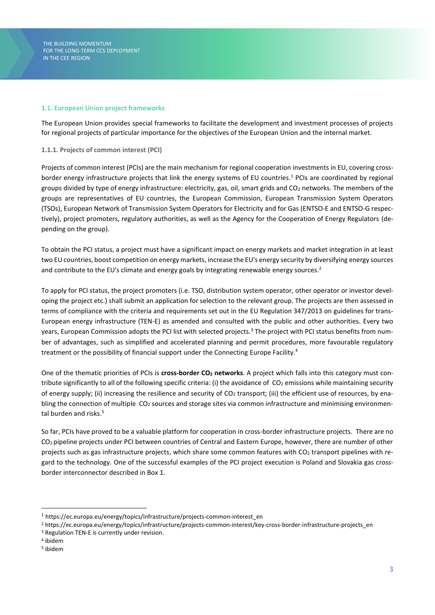#### **1.1. European Union project frameworks**

The European Union provides special frameworks to facilitate the development and investment processes of projects for regional projects of particular importance for the objectives of the European Union and the internal market.

#### **1.1.1. Projects of common interest (PCI)**

Projects of common interest (PCIs) are the main mechanism for regional cooperation investments in EU, covering crossborder energy infrastructure projects that link the energy systems of EU countries. <sup>1</sup> PCIs are coordinated by regional groups divided by type of energy infrastructure: electricity, gas, oil, smart grids and  $CO<sub>2</sub>$  networks. The members of the groups are representatives of EU countries, the European Commission, European Transmission System Operators (TSOs), European Network of Transmission System Operators for Electricity and for Gas (ENTSO-E and ENTSO-G respectively), project promoters, regulatory authorities, as well as the Agency for the Cooperation of Energy Regulators (depending on the group).

To obtain the PCI status, a project must have a significant impact on energy markets and market integration in at least two EU countries, boost competition on energy markets, increase the EU's energy security by diversifying energy sources and contribute to the EU's climate and energy goals by integrating renewable energy sources.<sup>2</sup>

To apply for PCI status, the project promoters (i.e. TSO, distribution system operator, other operator or investor developing the project etc.) shall submit an application for selection to the relevant group. The projects are then assessed in terms of compliance with the criteria and requirements set out in the EU Regulation 347/2013 on guidelines for trans-European energy infrastructure (TEN-E) as amended and consulted with the public and other authorities. Every two years, European Commission adopts the PCI list with selected projects.<sup>3</sup> The project with PCI status benefits from number of advantages, such as simplified and accelerated planning and permit procedures, more favourable regulatory treatment or the possibility of financial support under the Connecting Europe Facility.<sup>4</sup>

One of the thematic priorities of PCIs is **cross-border CO<sup>2</sup> networks**. A project which falls into this category must contribute significantly to all of the following specific criteria: (i) the avoidance of  $CO<sub>2</sub>$  emissions while maintaining security of energy supply; (ii) increasing the resilience and security of CO<sub>2</sub> transport; (iii) the efficient use of resources, by enabling the connection of multiple  $CO<sub>2</sub>$  sources and storage sites via common infrastructure and minimising environmental burden and risks. 5

So far, PCIs have proved to be a valuable platform for cooperation in cross-border infrastructure projects. There are no CO2 pipeline projects under PCI between countries of Central and Eastern Europe, however, there are number of other projects such as gas infrastructure projects, which share some common features with  $CO<sub>2</sub>$  transport pipelines with regard to the technology. One of the successful examples of the PCI project execution is Poland and Slovakia gas crossborder interconnector described in Box 1.

<sup>1</sup> https://ec.europa.eu/energy/topics/infrastructure/projects-common-interest\_en

<sup>2</sup> https://ec.europa.eu/energy/topics/infrastructure/projects-common-interest/key-cross-border-infrastructure-projects\_en

<sup>3</sup> Regulation TEN-E is currently under revision.

<sup>4</sup> ibidem

<sup>5</sup> ibidem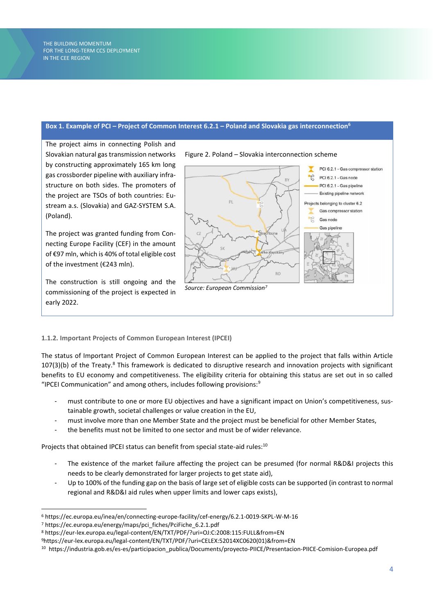#### **Box 1. Example of PCI – Project of Common Interest 6.2.1 – Poland and Slovakia gas interconnection<sup>6</sup>**

The project aims in connecting Polish and Slovakian natural gas transmission networks by constructing approximately 165 km long gas crossborder pipeline with auxiliary infrastructure on both sides. The promoters of the project are TSOs of both countries: Eustream a.s. (Slovakia) and GAZ-SYSTEM S.A. (Poland).

The project was granted funding from Connecting Europe Facility (CEF) in the amount of €97 mln, which is 40% of total eligible cost of the investment (€243 mln).

The construction is still ongoing and the commissioning of the project is expected in early 2022.



#### **1.1.2. Important Projects of Common European Interest (IPCEI)**

The status of Important Project of Common European Interest can be applied to the project that falls within Article 107(3)(b) of the Treaty.<sup>8</sup> This framework is dedicated to disruptive research and innovation projects with significant benefits to EU economy and competitiveness. The eligibility criteria for obtaining this status are set out in so called "IPCEI Communication" and among others, includes following provisions:<sup>9</sup>

- must contribute to one or more EU objectives and have a significant impact on Union's competitiveness, sustainable growth, societal challenges or value creation in the EU,
- must involve more than one Member State and the project must be beneficial for other Member States,
- the benefits must not be limited to one sector and must be of wider relevance.

Projects that obtained IPCEI status can benefit from special state-aid rules:<sup>10</sup>

- The existence of the market failure affecting the project can be presumed (for normal R&D&I projects this needs to be clearly demonstrated for larger projects to get state aid),
- Up to 100% of the funding gap on the basis of large set of eligible costs can be supported (in contrast to normal regional and R&D&I aid rules when upper limits and lower caps exists),

<sup>6</sup> https://ec.europa.eu/inea/en/connecting-europe-facility/cef-energy/6.2.1-0019-SKPL-W-M-16

<sup>7</sup> https://ec.europa.eu/energy/maps/pci\_fiches/PciFiche\_6.2.1.pdf

<sup>8</sup> https://eur-lex.europa.eu/legal-content/EN/TXT/PDF/?uri=OJ:C:2008:115:FULL&from=EN

<sup>9</sup>https://eur-lex.europa.eu/legal-content/EN/TXT/PDF/?uri=CELEX:52014XC0620(01)&from=EN

<sup>10</sup> https://industria.gob.es/es-es/participacion\_publica/Documents/proyecto-PIICE/Presentacion-PIICE-Comision-Europea.pdf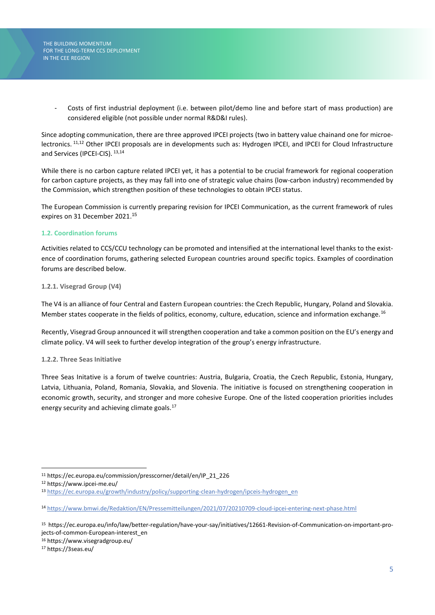> Costs of first industrial deployment (i.e. between pilot/demo line and before start of mass production) are considered eligible (not possible under normal R&D&I rules).

Since adopting communication, there are three approved IPCEI projects (two in battery value chainand one for microelectronics. <sup>11,12</sup> Other IPCEI proposals are in developments such as: Hydrogen IPCEI, and IPCEI for Cloud Infrastructure and Services (IPCEI-CIS).  $^{13,14}$ 

While there is no carbon capture related IPCEI yet, it has a potential to be crucial framework for regional cooperation for carbon capture projects, as they may fall into one of strategic value chains (low-carbon industry) recommended by the Commission, which strengthen position of these technologies to obtain IPCEI status.

The European Commission is currently preparing revision for IPCEI Communication, as the current framework of rules expires on 31 December 2021. 15

# **1.2. Coordination forums**

Activities related to CCS/CCU technology can be promoted and intensified at the international level thanks to the existence of coordination forums, gathering selected European countries around specific topics. Examples of coordination forums are described below.

#### **1.2.1. Visegrad Group (V4)**

The V4 is an alliance of four Central and Eastern European countries: the Czech Republic, Hungary, Poland and Slovakia. Member states cooperate in the fields of politics, economy, culture, education, science and information exchange.<sup>16</sup>

Recently, Visegrad Group announced it will strengthen cooperation and take a common position on the EU's energy and climate policy. V4 will seek to further develop integration of the group's energy infrastructure.

#### **1.2.2. Three Seas Initiative**

Three Seas Initative is a forum of twelve countries: Austria, Bulgaria, Croatia, the Czech Republic, Estonia, Hungary, Latvia, Lithuania, Poland, Romania, Slovakia, and Slovenia. The initiative is focused on strengthening cooperation in economic growth, security, and stronger and more cohesive Europe. One of the listed cooperation priorities includes energy security and achieving climate goals.<sup>17</sup>

<sup>17</sup> https://3seas.eu/

<sup>11</sup> https://ec.europa.eu/commission/presscorner/detail/en/IP\_21\_226

<sup>12</sup> https://www.ipcei-me.eu/

<sup>13</sup> [https://ec.europa.eu/growth/industry/policy/supporting-clean-hydrogen/ipceis-hydrogen\\_en](https://ec.europa.eu/growth/industry/policy/supporting-clean-hydrogen/ipceis-hydrogen_en)

<sup>14</sup> <https://www.bmwi.de/Redaktion/EN/Pressemitteilungen/2021/07/20210709-cloud-ipcei-entering-next-phase.html>

<sup>15</sup> https://ec.europa.eu/info/law/better-regulation/have-your-say/initiatives/12661-Revision-of-Communication-on-important-projects-of-common-European-interest\_en

<sup>16</sup> https://www.visegradgroup.eu/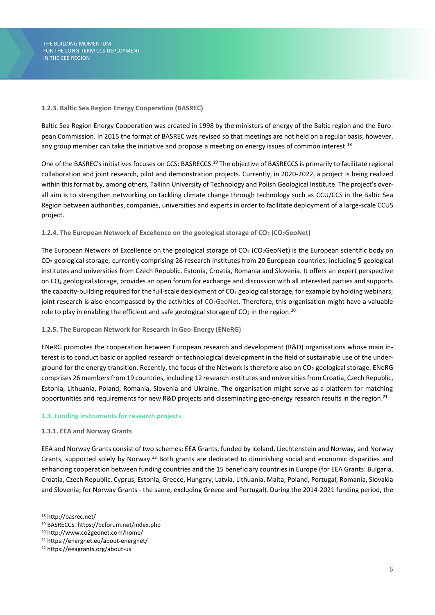#### **1.2.3. Baltic Sea Region Energy Cooperation (BASREC)**

Baltic Sea Region Energy Cooperation was created in 1998 by the ministers of energy of the Baltic region and the European Commission. In 2015 the format of BASREC was revised so that meetings are not held on a regular basis; however, any group member can take the initiative and propose a meeting on energy issues of common interest.<sup>18</sup>

One of the BASREC's initiatives focuses on CCS: BASRECCS.<sup>19</sup> The objective of BASRECCS is primarily to facilitate regional collaboration and joint research, pilot and demonstration projects. Currently, in 2020-2022, a project is being realized within this format by, among others, Tallinn University of Technology and Polish Geological Institute. The project's overall aim is to strengthen networking on tackling climate change through technology such as CCU/CCS in the Baltic Sea Region between authorities, companies, universities and experts in order to facilitate deployment of a large-scale CCUS project.

#### **1.2.4. The European Network of Excellence on the geological storage of CO<sup>2</sup> (CO2GeoNet)**

The European Network of Excellence on the geological storage of  $CO<sub>2</sub>$  (CO<sub>2</sub>[GeoNet\)](http://www.co2geonet.com/home/) is the European scientific body on CO<sup>2</sup> geological storage, currently comprising 26 research institutes from 20 European countries, including 5 geological institutes and universities from Czech Republic, Estonia, Croatia, Romania and Slovenia. It offers an expert perspective on CO<sup>2</sup> geological storage, provides an open forum for exchange and discussion with all interested parties and supports the capacity-building required for the full-scale deployment of CO<sub>2</sub> geological storage, for example by holding webinars; joint research is also encompassed by the activities of CO<sub>2</sub>GeoNet. Therefore, this organisation might have a valuable role to play in enabling the efficient and safe geological storage of  $CO<sub>2</sub>$  in the region.<sup>20</sup>

#### **1.2.5. The European Network for Research in Geo-Energy (ENeRG)**

ENeRG promotes the cooperation between European research and development (R&D) organisations whose main interest is to conduct basic or applied research or technological development in the field of sustainable use of the underground for the energy transition. Recently, the focus of the Network is therefore also on CO<sub>2</sub> geological storage. ENeRG comprises 26 members from 19 countries, including 12 research institutes and universities from Croatia, Czech Republic, Estonia, Lithuania, Poland, Romania, Slovenia and Ukraine. The organisation might serve as a platform for matching opportunities and requirements for new R&D projects and disseminating geo-energy research results in the region.<sup>21</sup>

#### **1.3. Funding instruments for research projects**

#### **1.3.1. EEA and Norway Grants**

EEA and Norway Grants consist of two schemes: EEA Grants, funded by Iceland, Liechtenstein and Norway, and Norway Grants, supported solely by Norway.<sup>22</sup> Both grants are dedicated to diminishing social and economic disparities and enhancing cooperation between funding countries and the 15 beneficiary countries in Europe (for EEA Grants: Bulgaria, Croatia, Czech Republic, Cyprus, Estonia, Greece, Hungary, Latvia, Lithuania, Malta, Poland, Portugal, Romania, Slovakia and Slovenia; for Norway Grants - the same, excluding Greece and Portugal). During the 2014-2021 funding period, the

<sup>18</sup> http://basrec.net/

<sup>19</sup> BASRECCS. https://bcforum.net/index.php

<sup>20</sup> http://www.co2geonet.com/home/

<sup>21</sup> https://energnet.eu/about-energnet/

<sup>22</sup> https://eeagrants.org/about-us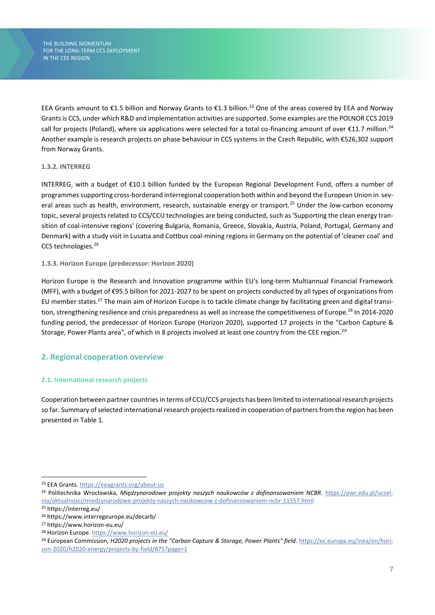EEA Grants amount to €1.5 billion and Norway Grants to €1.3 billion.<sup>23</sup> One of the areas covered by EEA and Norway Grants is CCS, under which R&D and implementation activities are supported. Some examples are the POLNOR CCS 2019 call for projects (Poland), where six applications were selected for a total co-financing amount of over  $\epsilon$ 11.7 million.<sup>24</sup> Another example is research projects on phase behaviour in CCS systems in the Czech Republic, with €526,302 support from Norway Grants.

#### **1.3.2. INTERREG**

INTERREG, with a budget of €10.1 billion funded by the European Regional Development Fund, offers a number of programmes supporting cross-borderand interregional cooperation both within and beyond the European Union in several areas such as health, environment, research, sustainable energy or transport.<sup>25</sup> Under the low-carbon economy topic, several projects related to CCS/CCU technologies are being conducted, such as 'Supporting the clean energy transition of coal-intensive regions' (covering Bulgaria, Romania, Greece, Slovakia, Austria, Poland, Portugal, Germany and Denmark) with a study visit in Lusatia and Cottbus coal-mining regions in Germany on the potential of 'cleaner coal' and CCS technologies.<sup>26</sup>

#### **1.3.3. Horizon Europe (predecessor: Horizon 2020)**

Horizon Europe is the Research and Innovation programme within EU's long-term Multiannual Financial Framework (MFF), with a budget of €95.5 billion for 2021-2027 to be spent on projects conducted by all types of organizations from EU member states.<sup>27</sup> The main aim of Horizon Europe is to tackle climate change by facilitating green and digital transition, strengthening resilience and crisis preparedness as well as increase the competitiveness of Europe.<sup>28</sup> In 2014-2020 funding period, the predecessor of Horizon Europe (Horizon 2020), supported 17 projects in the "Carbon Capture & Storage, Power Plants area", of which in 8 projects involved at least one country from the CEE region.<sup>29</sup>

# **2. Regional cooperation overview**

# **2.1. International research projects**

Cooperation between partner countries in terms of CCU/CCS projects has been limited to international research projects so far. Summary of selected international research projects realized in cooperation of partners from the region has been presented in Table 1.

<sup>23</sup> EEA Grants[. https://eeagrants.org/about-us](https://eeagrants.org/about-us)

<sup>24</sup> Politechnika Wrocławska, *Międzynarodowe projekty naszych naukowców z dofinansowaniem NCBR.* [https://pwr.edu.pl/uczel](https://pwr.edu.pl/uczelnia/aktualnosci/miedzynarodowe-projekty-naszych-naukowcow-z-dofinansowaniem-ncbr-11557.html)[nia/aktualnosci/miedzynarodowe-projekty-naszych-naukowcow-z-dofinansowaniem-ncbr-11557.html](https://pwr.edu.pl/uczelnia/aktualnosci/miedzynarodowe-projekty-naszych-naukowcow-z-dofinansowaniem-ncbr-11557.html)

<sup>25</sup> https://interreg.eu/

<sup>26</sup> https://www.interregeurope.eu/decarb/

<sup>27</sup> https://www.horizon-eu.eu/

<sup>28</sup> Horizon Europe.<https://www.horizon-eu.eu/>

<sup>29</sup> European Commission, *H2020 projects in the "Carbon Capture & Storage, Power Plants" field*[. https://ec.europa.eu/inea/en/hori](https://ec.europa.eu/inea/en/horizon-2020/h2020-energy/projects-by-field/875?page=1)[zon-2020/h2020-energy/projects-by-field/875?page=1](https://ec.europa.eu/inea/en/horizon-2020/h2020-energy/projects-by-field/875?page=1)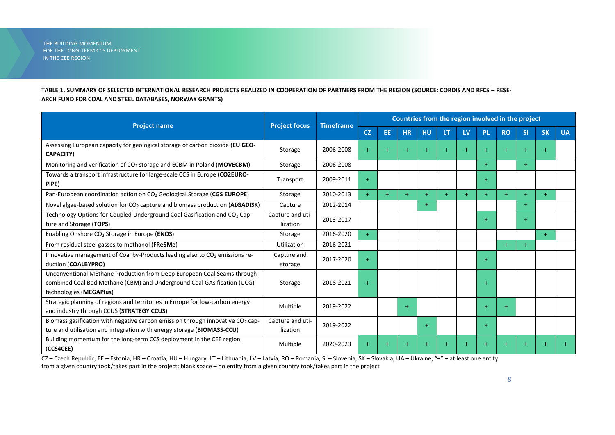### **TABLE 1. SUMMARY OF SELECTED INTERNATIONAL RESEARCH PROJECTS REALIZED IN COOPERATION OF PARTNERS FROM THE REGION (SOURCE: CORDIS AND RFCS – RESE-ARCH FUND FOR COAL AND STEEL DATABASES, NORWAY GRANTS)**

|                                                                                                                                                                               | <b>Project focus</b>         | <b>Timeframe</b> | Countries from the region involved in the project |     |           |           |     |           |           |             |           |           |           |
|-------------------------------------------------------------------------------------------------------------------------------------------------------------------------------|------------------------------|------------------|---------------------------------------------------|-----|-----------|-----------|-----|-----------|-----------|-------------|-----------|-----------|-----------|
| <b>Project name</b>                                                                                                                                                           |                              |                  | <b>CZ</b>                                         | EE  | <b>HR</b> | <b>HU</b> | LT. | LV        | <b>PL</b> | <b>RO</b>   | <b>SI</b> | <b>SK</b> | <b>UA</b> |
| Assessing European capacity for geological storage of carbon dioxide (EU GEO-<br><b>CAPACITY)</b>                                                                             | Storage                      | 2006-2008        | $+$                                               | $+$ | $+$       | $+$       |     | $+$       | $+$       | $\ddotmark$ | $\ddot{}$ |           |           |
| Monitoring and verification of $CO2$ storage and ECBM in Poland (MOVECBM)                                                                                                     | Storage                      | 2006-2008        |                                                   |     |           |           |     |           | $+$       |             | $+$       |           |           |
| Towards a transport infrastructure for large-scale CCS in Europe (CO2EURO-<br>PIPE)                                                                                           | Transport                    | 2009-2011        | $+$                                               |     |           |           |     |           | $+$       |             |           |           |           |
| Pan-European coordination action on CO <sub>2</sub> Geological Storage (CGS EUROPE)                                                                                           | Storage                      | 2010-2013        | $+$                                               | $+$ | $+$       | $+$       | $+$ | $+$       | $+$       | $+$         | $+$       |           |           |
| Novel algae-based solution for CO <sub>2</sub> capture and biomass production (ALGADISK)                                                                                      | Capture                      | 2012-2014        |                                                   |     |           | $+$       |     |           |           |             |           |           |           |
| Technology Options for Coupled Underground Coal Gasification and CO <sub>2</sub> Cap-<br>ture and Storage (TOPS)                                                              | Capture and uti-<br>lization | 2013-2017        |                                                   |     |           |           |     |           | $\ddot{}$ |             | $+$       |           |           |
| Enabling Onshore CO <sub>2</sub> Storage in Europe (ENOS)                                                                                                                     | Storage                      | 2016-2020        | $+$                                               |     |           |           |     |           |           |             |           | $+$       |           |
| From residual steel gasses to methanol (FReSMe)                                                                                                                               | <b>Utilization</b>           | 2016-2021        |                                                   |     |           |           |     |           |           | $+$         | $+$       |           |           |
| Innovative management of Coal by-Products leading also to $CO2$ emissions re-<br>duction (COALBYPRO)                                                                          | Capture and<br>storage       | 2017-2020        | $+$                                               |     |           |           |     |           | $+$       |             |           |           |           |
| Unconventional MEthane Production from Deep European Coal Seams through<br>combined Coal Bed Methane (CBM) and Underground Coal GAsification (UCG)<br>technologies (MEGAPlus) | Storage                      | 2018-2021        | $\ddot{}$                                         |     |           |           |     |           | $\ddot{}$ |             |           |           |           |
| Strategic planning of regions and territories in Europe for low-carbon energy<br>and industry through CCUS (STRATEGY CCUS)                                                    | Multiple                     | 2019-2022        |                                                   |     | $+$       |           |     |           | $\ddot{}$ | $+$         |           |           |           |
| Biomass gasification with negative carbon emission through innovative CO <sub>2</sub> cap-<br>ture and utilisation and integration with energy storage (BIOMASS-CCU)          | Capture and uti-<br>lization | 2019-2022        |                                                   |     |           | $+$       |     |           | $+$       |             |           |           |           |
| Building momentum for the long-term CCS deployment in the CEE region<br>(CCS4CEE)                                                                                             | Multiple                     | 2020-2023        | $+$                                               | $+$ |           | $+$       |     | $\ddot{}$ | $\ddot{}$ |             | $\ddot{}$ |           |           |

CZ – Czech Republic, EE – Estonia, HR – Croatia, HU – Hungary, LT – Lithuania, LV – Latvia, RO – Romania, SI – Slovenia, SK – Slovakia, UA – Ukraine; "+" – at least one entity from a given country took/takes part in the project; blank space – no entity from a given country took/takes part in the project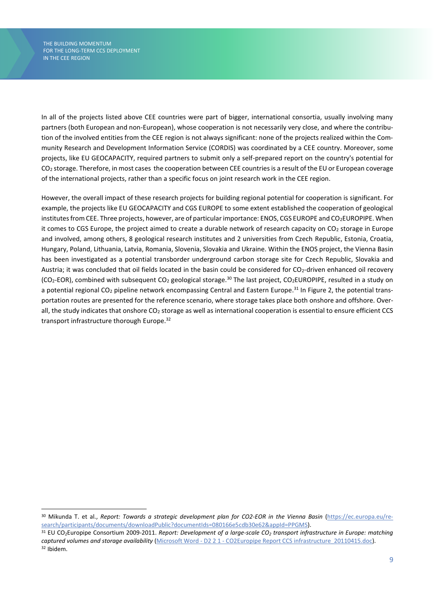In all of the projects listed above CEE countries were part of bigger, international consortia, usually involving many partners (both European and non-European), whose cooperation is not necessarily very close, and where the contribution of the involved entities from the CEE region is not always significant: none of the projects realized within the Community Research and Development Information Service (CORDIS) was coordinated by a CEE country. Moreover, some projects, like EU GEOCAPACITY, required partners to submit only a self-prepared report on the country's potential for CO<sub>2</sub> storage. Therefore, in most cases the cooperation between CEE countries is a result of the EU or European coverage of the international projects, rather than a specific focus on joint research work in the CEE region.

However, the overall impact of these research projects for building regional potential for cooperation is significant. For example, the projects like EU GEOCAPACITY and CGS EUROPE to some extent established the cooperation of geological institutes from CEE. Three projects, however, are of particular importance: ENOS, CGS EUROPE and CO2EUROPIPE. When it comes to CGS Europe, the project aimed to create a durable network of research capacity on CO<sub>2</sub> storage in Europe and involved, among others, 8 geological research institutes and 2 universities from Czech Republic, Estonia, Croatia, Hungary, Poland, Lithuania, Latvia, Romania, Slovenia, Slovakia and Ukraine. Within the ENOS project, the Vienna Basin has been investigated as a potential transborder underground carbon storage site for Czech Republic, Slovakia and Austria; it was concluded that oil fields located in the basin could be considered for CO<sub>2</sub>-driven enhanced oil recovery (CO<sub>2</sub>-EOR), combined with subsequent CO<sub>2</sub> geological storage.<sup>30</sup> The last project, CO<sub>2</sub>EUROPIPE, resulted in a study on a potential regional CO<sub>2</sub> pipeline network encompassing Central and Eastern Europe.<sup>31</sup> In Figure 2, the potential transportation routes are presented for the reference scenario, where storage takes place both onshore and offshore. Overall, the study indicates that onshore CO<sub>2</sub> storage as well as international cooperation is essential to ensure efficient CCS transport infrastructure thorough Europe. 32

<sup>30</sup> Mikunda T. et al., *Report: Towards a strategic development plan for CO2-EOR in the Vienna Basin* [\(https://ec.europa.eu/re](https://ec.europa.eu/research/participants/documents/downloadPublic?documentIds=080166e5cdb30e62&appId=PPGMS)[search/participants/documents/downloadPublic?documentIds=080166e5cdb30e62&appId=PPGMS\)](https://ec.europa.eu/research/participants/documents/downloadPublic?documentIds=080166e5cdb30e62&appId=PPGMS).

<sup>31</sup> EU CO2Europipe Consortium 2009-2011. *Report: Development of a large-scale CO<sup>2</sup> transport infrastructure in Europe: matching captured volumes and storage availability* (Microsoft Word - D2 2 1 - [CO2Europipe Report CCS infrastructure\\_20110415.doc\)](http://www.co2europipe.eu/Publications/D2.2.1%20-%20CO2Europipe%20Report%20CCS%20infrastructure.pdf). <sup>32</sup> Ibidem.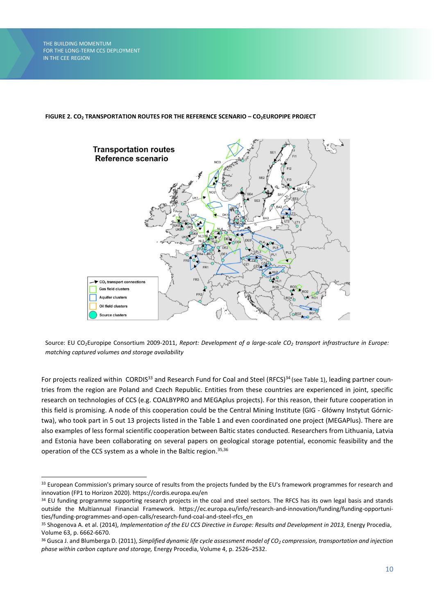#### **FIGURE 2. CO<sup>2</sup> TRANSPORTATION ROUTES FOR THE REFERENCE SCENARIO – CO2EUROPIPE PROJECT**



Source: EU CO2Europipe Consortium 2009-2011, *Report: Development of a large-scale CO<sup>2</sup> transport infrastructure in Europe: matching captured volumes and storage availability*

For projects realized within CORDIS<sup>33</sup> and Research Fund for Coal and Steel (RFCS)<sup>34</sup> (see Table 1), leading partner countries from the region are Poland and Czech Republic. Entities from these countries are experienced in joint, specific research on technologies of CCS (e.g. COALBYPRO and MEGAplus projects). For this reason, their future cooperation in this field is promising. A node of this cooperation could be the Central Mining Institute (GIG - Główny Instytut Górnictwa), who took part in 5 out 13 projects listed in the Table 1 and even coordinated one project (MEGAPlus). There are also examples of less formal scientific cooperation between Baltic states conducted. Researchers from Lithuania, Latvia and Estonia have been collaborating on several papers on geological storage potential, economic feasibility and the operation of the CCS system as a whole in the Baltic region. 35,36

<sup>33</sup> European Commission's primary source of results from the projects funded by the EU's framework programmes for research and innovation (FP1 to Horizon 2020). https://cordis.europa.eu/en

<sup>34</sup> EU funding programme supporting research projects in the coal and steel sectors. The RFCS has its own legal basis and stands outside the Multiannual Financial Framework. https://ec.europa.eu/info/research-and-innovation/funding/funding-opportunities/funding-programmes-and-open-calls/research-fund-coal-and-steel-rfcs\_en

<sup>35</sup> Shogenova A. et al. (2014), *Implementation of the EU CCS Directive in Europe: Results and Development in 2013, Energy Procedia*, Volume 63, p. 6662-6670.

<sup>36</sup> Gusca J. and Blumberga D. (2011), *Simplified dynamic life cycle assessment model of CO<sup>2</sup> compression, transportation and injection phase within carbon capture and storage,* Energy Procedia, Volume 4, p. 2526–2532.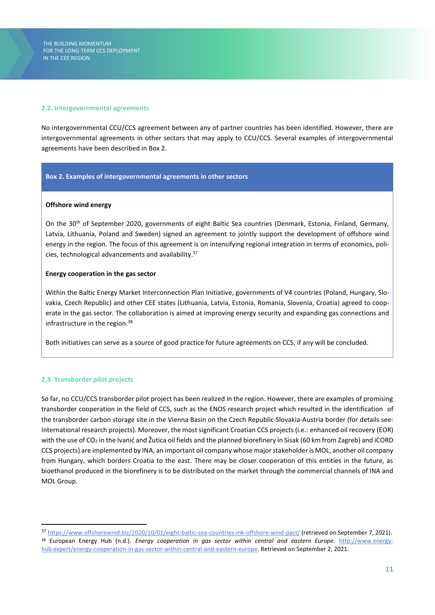#### **2.2. Intergovernmental agreements**

No intergovernmental CCU/CCS agreement between any of partner countries has been identified. However, there are intergovernmental agreements in other sectors that may apply to CCU/CCS. Several examples of intergovernmental agreements have been described in Box 2.

#### **Box 2. Examples of intergovernmental agreements in other sectors**

#### **Offshore wind energy**

On the 30th of September 2020, governments of eight Baltic Sea countries (Denmark, Estonia, Finland, Germany, Latvia, Lithuania, Poland and Sweden) signed an agreement to jointly support the development of offshore wind energy in the region. The focus of this agreement is on intensifying regional integration in terms of economics, policies, technological advancements and availability. 37

#### **Energy cooperation in the gas sector**

Within the Baltic Energy Market Interconnection Plan Initiative, governments of V4 countries (Poland, Hungary, Slovakia, Czech Republic) and other CEE states (Lithuania, Latvia, Estonia, Romania, Slovenia, Croatia) agreed to cooperate in the gas sector. The collaboration is aimed at improving energy security and expanding gas connections and infrastructure in the region. 38

Both initiatives can serve as a source of good practice for future agreements on CCS, if any will be concluded.

#### **2.3. Transborder pilot projects**

So far, no CCU/CCS transborder pilot project has been realized in the region. However, there are examples of promising transborder cooperation in the field of CCS, such as the ENOS research project which resulted in the identification of the transborder carbon storage site in the Vienna Basin on the Czech Republic-Slovakia-Austria border (for details see: International research projects). Moreover, the most significant Croatian CCS projects (i.e.: enhanced oil recovery (EOR) with the use of CO<sub>2</sub> in the Ivanić and Žutica oil fields and the planned biorefinery in Sisak (60 km from Zagreb) and iCORD CCS projects) are implemented by INA, an important oil company whose major stakeholder is MOL, another oil company from Hungary, which borders Croatia to the east. There may be closer cooperation of this entities in the future, as bioethanol produced in the biorefinery is to be distributed on the market through the commercial channels of INA and MOL Group.

<sup>37</sup> <https://www.offshorewind.biz/2020/10/01/eight-baltic-sea-countries-ink-offshore-wind-pact/> (retrieved on September 7, 2021). <sup>38</sup> European Energy Hub (n.d.). *Energy cooperation in gas sector within central and eastern Europe.* [http://www.energy](http://www.energyhub.expert/energy-cooperation-in-gas-sector-within-central-and-eastern-europe)[hub.expert/energy-cooperation-in-gas-sector-within-central-and-eastern-europe.](http://www.energyhub.expert/energy-cooperation-in-gas-sector-within-central-and-eastern-europe) Retrieved on September 2, 2021.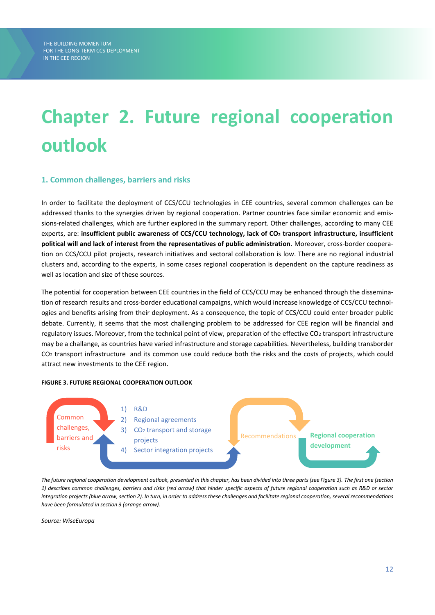# **Chapter 2. Future regional cooperation outlook**

# **1. Common challenges, barriers and risks**

In order to facilitate the deployment of CCS/CCU technologies in CEE countries, several common challenges can be addressed thanks to the synergies driven by regional cooperation. Partner countries face similar economic and emissions-related challenges, which are further explored in the summary report. Other challenges, according to many CEE experts, are: **insufficient public awareness of CCS/CCU technology, lack of CO<sup>2</sup> transport infrastructure, insufficient political will and lack of interest from the representatives of public administration**. Moreover, cross-border cooperation on CCS/CCU pilot projects, research initiatives and sectoral collaboration is low. There are no regional industrial clusters and, according to the experts, in some cases regional cooperation is dependent on the capture readiness as well as location and size of these sources.

The potential for cooperation between CEE countries in the field of CCS/CCU may be enhanced through the dissemination of research results and cross-border educational campaigns, which would increase knowledge of CCS/CCU technologies and benefits arising from their deployment. As a consequence, the topic of CCS/CCU could enter broader public debate. Currently, it seems that the most challenging problem to be addressed for CEE region will be financial and regulatory issues. Moreover, from the technical point of view, preparation of the effective CO<sub>2</sub> transport infrastructure may be a challange, as countries have varied infrastructure and storage capabilities. Nevertheless, building transborder CO<sup>2</sup> transport infrastructure and its common use could reduce both the risks and the costs of projects, which could attract new investments to the CEE region.

#### **FIGURE 3. FUTURE REGIONAL COOPERATION OUTLOOK**



*The future regional cooperation development outlook, presented in this chapter, has been divided into three parts (see Figure 3). The first one (section 1) describes common challenges, barriers and risks (red arrow) that hinder specific aspects of future regional cooperation such as R&D or sector integration projects (blue arrow, section 2). In turn, in order to address these challenges and facilitate regional cooperation, several recommendations have been formulated in section 3 (orange arrow).*

*Source: WiseEuropa*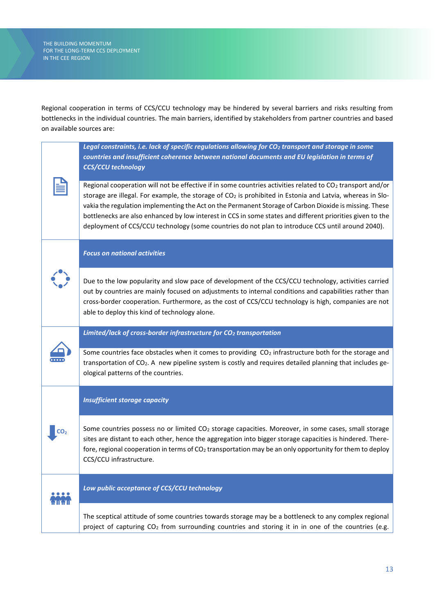Regional cooperation in terms of CCS/CCU technology may be hindered by several barriers and risks resulting from bottlenecks in the individual countries. The main barriers, identified by stakeholders from partner countries and based on available sources are:

|  | Legal constraints, i.e. lack of specific regulations allowing for CO <sub>2</sub> transport and storage in some<br>countries and insufficient coherence between national documents and EU legislation in terms of<br><b>CCS/CCU technology</b>                                                                                                                                                                                                                                                                                                        |
|--|-------------------------------------------------------------------------------------------------------------------------------------------------------------------------------------------------------------------------------------------------------------------------------------------------------------------------------------------------------------------------------------------------------------------------------------------------------------------------------------------------------------------------------------------------------|
|  | Regional cooperation will not be effective if in some countries activities related to $CO2$ transport and/or<br>storage are illegal. For example, the storage of CO2 is prohibited in Estonia and Latvia, whereas in Slo-<br>vakia the regulation implementing the Act on the Permanent Storage of Carbon Dioxide is missing. These<br>bottlenecks are also enhanced by low interest in CCS in some states and different priorities given to the<br>deployment of CCS/CCU technology (some countries do not plan to introduce CCS until around 2040). |
|  | <b>Focus on national activities</b>                                                                                                                                                                                                                                                                                                                                                                                                                                                                                                                   |
|  | Due to the low popularity and slow pace of development of the CCS/CCU technology, activities carried<br>out by countries are mainly focused on adjustments to internal conditions and capabilities rather than<br>cross-border cooperation. Furthermore, as the cost of CCS/CCU technology is high, companies are not<br>able to deploy this kind of technology alone.                                                                                                                                                                                |
|  | Limited/lack of cross-border infrastructure for CO <sub>2</sub> transportation                                                                                                                                                                                                                                                                                                                                                                                                                                                                        |
|  | Some countries face obstacles when it comes to providing $CO2$ infrastructure both for the storage and<br>transportation of CO <sub>2</sub> . A new pipeline system is costly and requires detailed planning that includes ge-<br>ological patterns of the countries.                                                                                                                                                                                                                                                                                 |
|  | <b>Insufficient storage capacity</b>                                                                                                                                                                                                                                                                                                                                                                                                                                                                                                                  |
|  | Some countries possess no or limited CO <sub>2</sub> storage capacities. Moreover, in some cases, small storage<br>sites are distant to each other, hence the aggregation into bigger storage capacities is hindered. There-<br>fore, regional cooperation in terms of $CO2$ transportation may be an only opportunity for them to deploy<br>CCS/CCU infrastructure.                                                                                                                                                                                  |
|  | Low public acceptance of CCS/CCU technology                                                                                                                                                                                                                                                                                                                                                                                                                                                                                                           |
|  | The sceptical attitude of some countries towards storage may be a bottleneck to any complex regional<br>project of capturing CO <sub>2</sub> from surrounding countries and storing it in in one of the countries (e.g.                                                                                                                                                                                                                                                                                                                               |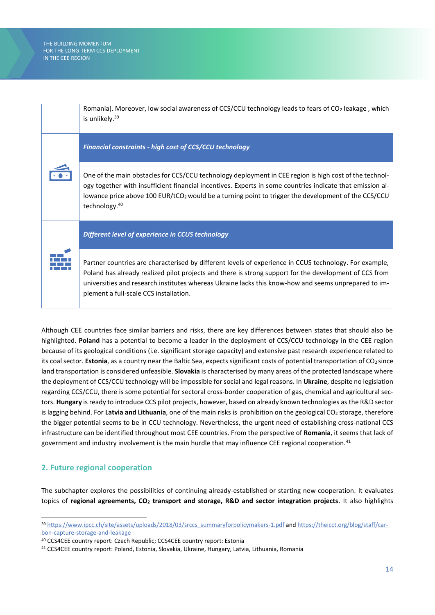

Although CEE countries face similar barriers and risks, there are key differences between states that should also be highlighted. **Poland** has a potential to become a leader in the deployment of CCS/CCU technology in the CEE region because of its geological conditions (i.e. significant storage capacity) and extensive past research experience related to its coal sector. **Estonia**, as a country near the Baltic Sea, expects significant costs of potential transportation of CO<sub>2</sub> since land transportation is considered unfeasible. **Slovakia** is characterised by many areas of the protected landscape where the deployment of CCS/CCU technology will be impossible for social and legal reasons. In **Ukraine**, despite no legislation regarding CCS/CCU, there is some potential for sectoral cross-border cooperation of gas, chemical and agricultural sectors. **Hungary** is ready to introduce CCS pilot projects, however, based on already known technologies as the R&D sector is lagging behind. For **Latvia and Lithuania**, one of the main risks is prohibition on the geological CO<sup>2</sup> storage, therefore the bigger potential seems to be in CCU technology. Nevertheless, the urgent need of establishing cross-national CCS infrastructure can be identified throughout most CEE countries. From the perspective of **Romania**, it seems that lack of government and industry involvement is the main hurdle that may influence CEE regional cooperation.<sup>41</sup>

# **2. Future regional cooperation**

The subchapter explores the possibilities of continuing already-established or starting new cooperation. It evaluates topics of **regional agreements, CO<sup>2</sup> transport and storage, R&D and sector integration projects**. It also highlights

<sup>39</sup> [https://www.ipcc.ch/site/assets/uploads/2018/03/srccs\\_summaryforpolicymakers-1.pdf](https://www.ipcc.ch/site/assets/uploads/2018/03/srccs_summaryforpolicymakers-1.pdf) an[d https://theicct.org/blog/staff/car](https://theicct.org/blog/staff/carbon-capture-storage-and-leakage)[bon-capture-storage-and-leakage](https://theicct.org/blog/staff/carbon-capture-storage-and-leakage)

<sup>40</sup> CCS4CEE country report: Czech Republic; CCS4CEE country report: Estonia

<sup>41</sup> CCS4CEE country report: Poland, Estonia, Slovakia, Ukraine, Hungary, Latvia, Lithuania, Romania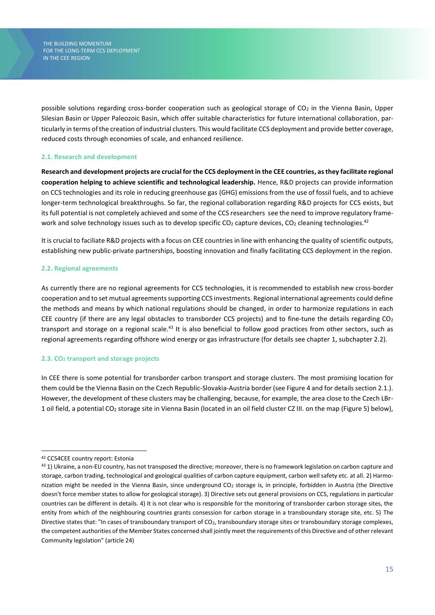possible solutions regarding cross-border cooperation such as geological storage of  $CO<sub>2</sub>$  in the Vienna Basin, Upper Silesian Basin or Upper Paleozoic Basin, which offer suitable characteristics for future international collaboration, particularly in terms of the creation of industrial clusters. This would facilitate CCS deployment and provide better coverage, reduced costs through economies of scale, and enhanced resilience.

#### **2.1. Research and development**

**Research and development projects are crucial for the CCS deployment in the CEE countries, as they facilitate regional cooperation helping to achieve scientific and technological leadership.** Hence, R&D projects can provide information on CCS technologies and its role in reducing greenhouse gas (GHG) emissions from the use of fossil fuels, and to achieve longer-term technological breakthroughs. So far, the regional collaboration regarding R&D projects for CCS exists, but its full potential is not completely achieved and some of the CCS researchers see the need to improve regulatory framework and solve technology issues such as to develop specific CO<sub>2</sub> capture devices, CO<sub>2</sub> cleaning technologies.<sup>42</sup>

It is crucial to faciliate R&D projects with a focus on CEE countries in line with enhancing the quality of scientific outputs, establishing new public-private partnerships, boosting innovation and finally facilitating CCS deployment in the region.

#### **2.2. Regional agreements**

As currently there are no regional agreements for CCS technologies, it is recommended to establish new cross-border cooperation and to set mutual agreements supporting CCS investments. Regional international agreements could define the methods and means by which national regulations should be changed, in order to harmonize regulations in each CEE country (if there are any legal obstacles to transborder CCS projects) and to fine-tune the details regarding  $CO<sub>2</sub>$ transport and storage on a regional scale.<sup>43</sup> It is also beneficial to follow good practices from other sectors, such as regional agreements regarding offshore wind energy or gas infrastructure (for details see chapter 1, subchapter 2.2).

#### **2.3. CO<sup>2</sup> transport and storage projects**

In CEE there is some potential for transborder carbon transport and storage clusters. The most promising location for them could be the Vienna Basin on the Czech Republic-Slovakia-Austria border (see Figure 4 and for details section 2.1.). However, the development of these clusters may be challenging, because, for example, the area close to the Czech LBr-1 oil field, a potential CO<sup>2</sup> storage site in Vienna Basin (located in an oil field cluster CZ III. on the map (Figure 5) below),

<sup>42</sup> CCS4CEE country report: Estonia

<sup>43 1)</sup> Ukraine, a non-EU country, has not transposed the directive; moreover, there is no framework legislation on carbon capture and storage, carbon trading, technological and geological qualities of carbon capture equipment, carbon well safety etc. at all. 2) Harmonization might be needed in the Vienna Basin, since underground  $CO<sub>2</sub>$  storage is, in principle, forbidden in Austria (the Directive doesn't force member states to allow for geological storage). 3) Directive sets out general provisions on CCS, regulations in particular countries can be different in details. 4) It is not clear who is responsible for the monitoring of transborder carbon storage sites, the entity from which of the neighbouring countries grants consession for carbon storage in a transboundary storage site, etc. 5) The Directive states that: "In cases of transboundary transport of  $CO<sub>2</sub>$ , transboundary storage sites or transboundary storage complexes, the competent authorities of the Member States concerned shall jointly meet the requirements of this Directive and of other relevant Community legislation" (article 24)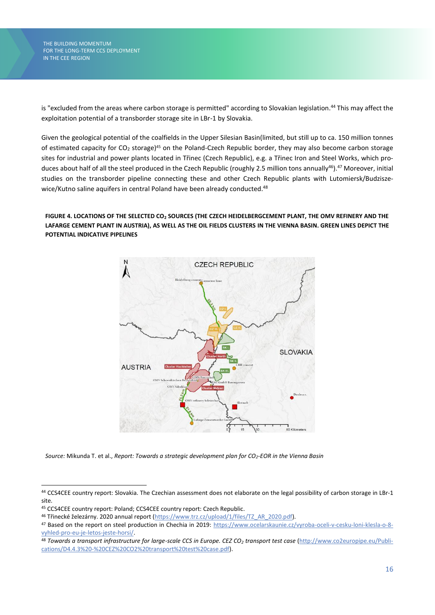is "excluded from the areas where carbon storage is permitted" according to Slovakian legislation. <sup>44</sup> This may affect the exploitation potential of a transborder storage site in LBr-1 by Slovakia.

Given the geological potential of the coalfields in the Upper Silesian Basin(limited, but still up to ca. 150 million tonnes of estimated capacity for CO<sub>2</sub> storage)<sup>45</sup> on the Poland-Czech Republic border, they may also become carbon storage sites for industrial and power plants located in Třinec (Czech Republic), e.g. a Třinec Iron and Steel Works, which produces about half of all the steel produced in the Czech Republic (roughly 2.5 million tons annually<sup>46</sup>).<sup>47</sup> Moreover, initial studies on the transborder pipeline connecting these and other Czech Republic plants with Lutomiersk/Budziszewice/Kutno saline aquifers in central Poland have been already conducted.<sup>48</sup>

**FIGURE 4. LOCATIONS OF THE SELECTED CO<sup>2</sup> SOURCES (THE CZECH HEIDELBERGCEMENT PLANT, THE OMV REFINERY AND THE LAFARGE CEMENT PLANT IN AUSTRIA), AS WELL AS THE OIL FIELDS CLUSTERS IN THE VIENNA BASIN. GREEN LINES DEPICT THE POTENTIAL INDICATIVE PIPELINES**



*Source:* Mikunda T. et al., *Report: Towards a strategic development plan for CO2-EOR in the Vienna Basin*

<sup>44</sup> CCS4CEE country report: Slovakia. The Czechian assessment does not elaborate on the legal possibility of carbon storage in LBr-1 site.

<sup>45</sup> CCS4CEE country report: Poland; CCS4CEE country report: Czech Republic.

<sup>46</sup> Třinecké železárny. 2020 annual report [\(https://www.trz.cz/upload/1/files/TZ\\_AR\\_2020.pdf\)](https://www.trz.cz/upload/1/files/TZ_AR_2020.pdf).

<sup>47</sup> Based on the report on steel production in Chechia in 2019: [https://www.ocelarskaunie.cz/vyroba-oceli-v-cesku-loni-klesla-o-8](https://www.ocelarskaunie.cz/vyroba-oceli-v-cesku-loni-klesla-o-8-vyhled-pro-eu-je-letos-jeste-horsi/) [vyhled-pro-eu-je-letos-jeste-horsi/.](https://www.ocelarskaunie.cz/vyroba-oceli-v-cesku-loni-klesla-o-8-vyhled-pro-eu-je-letos-jeste-horsi/)

<sup>48</sup> *Towards a transport infrastructure for large-scale CCS in Europe. CEZ CO<sup>2</sup> transport test case* [\(http://www.co2europipe.eu/Publi](http://www.co2europipe.eu/Publications/D4.4.3%20-%20CEZ%20CO2%20transport%20test%20case.pdf)[cations/D4.4.3%20-%20CEZ%20CO2%20transport%20test%20case.pdf\)](http://www.co2europipe.eu/Publications/D4.4.3%20-%20CEZ%20CO2%20transport%20test%20case.pdf).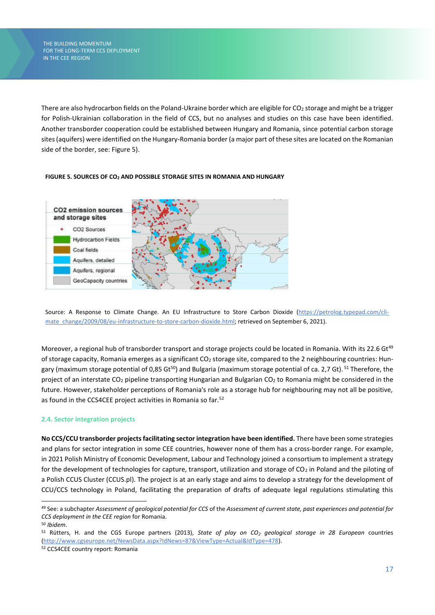There are also hydrocarbon fields on the Poland-Ukraine border which are eligible for  $CO<sub>2</sub>$  storage and might be a trigger for Polish-Ukrainian collaboration in the field of CCS, but no analyses and studies on this case have been identified. Another transborder cooperation could be established between Hungary and Romania, since potential carbon storage sites (aquifers) were identified on the Hungary-Romania border (a major part of these sites are located on the Romanian side of the border, see: Figure 5).



#### **FIGURE 5. SOURCES OF CO<sup>2</sup> AND POSSIBLE STORAGE SITES IN ROMANIA AND HUNGARY**

Source: A Response to Climate Change. An EU Infrastructure to Store Carbon Dioxide [\(https://petrolog.typepad.com/cli](https://petrolog.typepad.com/climate_change/2009/08/eu-infrastructure-to-store-carbon-dioxide.html)[mate\\_change/2009/08/eu-infrastructure-to-store-carbon-dioxide.html;](https://petrolog.typepad.com/climate_change/2009/08/eu-infrastructure-to-store-carbon-dioxide.html) retrieved on September 6, 2021).

Moreover, a regional hub of transborder transport and storage projects could be located in Romania. With its 22.6 Gt<sup>49</sup> of storage capacity, Romania emerges as a significant CO<sub>2</sub> storage site, compared to the 2 neighbouring countries: Hungary (maximum storage potential of 0,85 Gt<sup>50</sup>) and Bulgaria (maximum storage potential of ca. 2,7 Gt). <sup>51</sup> Therefore, the project of an interstate CO<sub>2</sub> pipeline transporting Hungarian and Bulgarian CO<sub>2</sub> to Romania might be considered in the future. However, stakeholder perceptions of Romania's role as a storage hub for neighbouring may not all be positive, as found in the CCS4CEE project activities in Romania so far.<sup>52</sup>

#### **2.4. Sector integration projects**

**No CCS/CCU transborder projectsfacilitating sector integration have been identified.** There have been some strategies and plans for sector integration in some CEE countries, however none of them has a cross-border range. For example, in 2021 Polish Ministry of Economic Development, Labour and Technology joined a consortium to implement a strategy for the development of technologies for capture, transport, utilization and storage of  $CO<sub>2</sub>$  in Poland and the piloting of a Polish CCUS Cluster (CCUS.pl). The project is at an early stage and aims to develop a strategy for the development of CCU/CCS technology in Poland, facilitating the preparation of drafts of adequate legal regulations stimulating this

<sup>49</sup> See: a subchapter *Assessment of geological potential for CCS* of the *Assessment of current state, past experiences and potential for CCS deployment in the CEE region* for Romania.

<sup>50</sup> *Ibidem*.

<sup>51</sup> Rütters, H. and the CGS Europe partners (2013), *State of play on CO<sup>2</sup> geological storage in 28 European* countries [\(http://www.cgseurope.net/NewsData.aspx?IdNews=87&ViewType=Actual&IdType=478\).](http://www.cgseurope.net/NewsData.aspx?IdNews=87&ViewType=Actual&IdType=478)

<sup>52</sup> CCS4CEE country report: Romania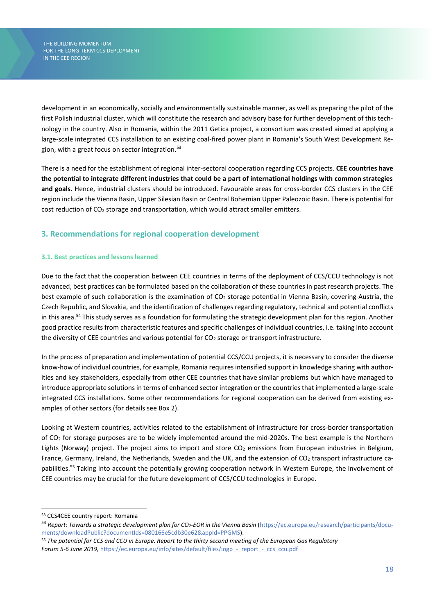development in an economically, socially and environmentally sustainable manner, as well as preparing the pilot of the first Polish industrial cluster, which will constitute the research and advisory base for further development of this technology in the country. Also in Romania, within the 2011 Getica project, a consortium was created aimed at applying a large-scale integrated CCS installation to an existing coal-fired power plant in Romania's South West Development Region, with a great focus on sector integration.<sup>53</sup>

There is a need for the establishment of regional inter-sectoral cooperation regarding CCS projects. **CEE countries have the potential to integrate different industries that could be a part of international holdings with common strategies and goals.** Hence, industrial clusters should be introduced. Favourable areas for cross-border CCS clusters in the CEE region include the Vienna Basin, Upper Silesian Basin or Central Bohemian Upper Paleozoic Basin. There is potential for cost reduction of CO<sub>2</sub> storage and transportation, which would attract smaller emitters.

# **3. Recommendations for regional cooperation development**

### **3.1. Best practices and lessons learned**

Due to the fact that the cooperation between CEE countries in terms of the deployment of CCS/CCU technology is not advanced, best practices can be formulated based on the collaboration of these countries in past research projects. The best example of such collaboration is the examination of  $CO<sub>2</sub>$  storage potential in Vienna Basin, covering Austria, the Czech Republic, and Slovakia, and the identification of challenges regarding regulatory, technical and potential conflicts in this area.<sup>54</sup> This study serves as a foundation for formulating the strategic development plan for this region. Another good practice results from characteristic features and specific challenges of individual countries, i.e. taking into account the diversity of CEE countries and various potential for CO<sub>2</sub> storage or transport infrastructure.

In the process of preparation and implementation of potential CCS/CCU projects, it is necessary to consider the diverse know-how of individual countries, for example, Romania requires intensified support in knowledge sharing with authorities and key stakeholders, especially from other CEE countries that have similar problems but which have managed to introduce appropriate solutions in terms of enhanced sector integration or the countries that implemented a large-scale integrated CCS installations. Some other recommendations for regional cooperation can be derived from existing examples of other sectors (for details see Box 2).

Looking at Western countries, activities related to the establishment of infrastructure for cross-border transportation of CO<sup>2</sup> for storage purposes are to be widely implemented around the mid-2020s. The best example is the Northern Lights (Norway) project. The project aims to import and store CO<sub>2</sub> emissions from European industries in Belgium, France, Germany, Ireland, the Netherlands, Sweden and the UK, and the extension of  $CO<sub>2</sub>$  transport infrastructure capabilities. <sup>55</sup> Taking into account the potentially growing cooperation network in Western Europe, the involvement of CEE countries may be crucial for the future development of CCS/CCU technologies in Europe.

<sup>53</sup> CCS4CEE country report: Romania

<sup>54</sup> *Report: Towards a strategic development plan for CO2-EOR in the Vienna Basin* [\(https://ec.europa.eu/research/participants/docu](https://ec.europa.eu/research/participants/documents/downloadPublic?documentIds=080166e5cdb30e62&appId=PPGMS)[ments/downloadPublic?documentIds=080166e5cdb30e62&appId=PPGMS\)](https://ec.europa.eu/research/participants/documents/downloadPublic?documentIds=080166e5cdb30e62&appId=PPGMS).

<sup>55</sup> *The potential for CCS and CCU in Europe. Report to the thirty second meeting of the European Gas Regulatory Forum 5-6 June 2019,* https://ec.europa.eu/info/sites/default/files/iogp - report - ccs ccu.pdf